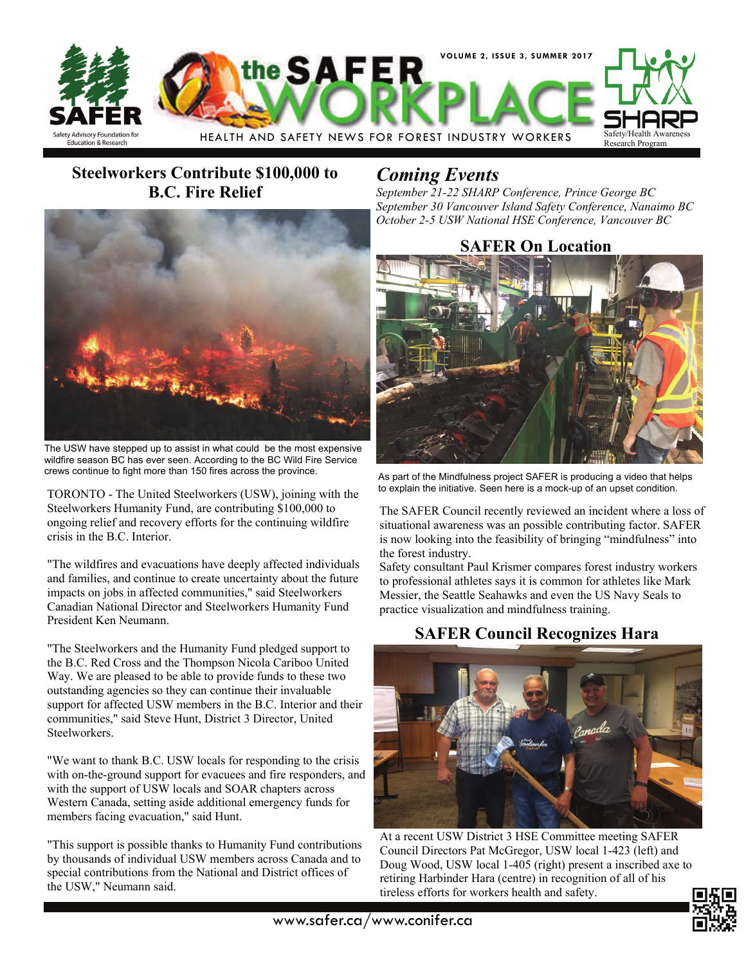

### **Steelworkers Contribute \$100,000 to B.C. Fire Relief**



The USW have stepped up to assist in what could be the most expensive wildfire season BC has ever seen. According to the BC Wild Fire Service crews continue to fight more than 150 fires across the province.

TORONTO - The United Steelworkers (USW), joining with the Steelworkers Humanity Fund, are contributing \$100,000 to ongoing relief and recovery efforts for the continuing wildfire crisis in the B.C. Interior.

"The wildfires and evacuations have deeply affected individuals and families, and continue to create uncertainty about the future impacts on jobs in affected communities," said Steelworkers Canadian National Director and Steelworkers Humanity Fund President Ken Neumann.

"The Steelworkers and the Humanity Fund pledged support to the B.C. Red Cross and the Thompson Nicola Cariboo United Way. We are pleased to be able to provide funds to these two outstanding agencies so they can continue their invaluable support for affected USW members in the B.C. Interior and their communities," said Steve Hunt, District 3 Director, United Steelworkers.

"We want to thank B.C. USW locals for responding to the crisis with on-the-ground support for evacuees and fire responders, and with the support of USW locals and SOAR chapters across Western Canada, setting aside additional emergency funds for members facing evacuation," said Hunt.

"This support is possible thanks to Humanity Fund contributions by thousands of individual USW members across Canada and to special contributions from the National and District offices of the USW," Neumann said.

## *Coming Events*

*September 21-22 SHARP Conference, Prince George BC September 30 Vancouver Island Safety Conference, Nanaimo BC October 2-5 USW National HSE Conference, Vancouver BC* 

#### **SAFER On Location**



As part of the Mindfulness project SAFER is producing a video that helps to explain the initiative. Seen here is a mock-up of an upset condition.

The SAFER Council recently reviewed an incident where a loss of situational awareness was an possible contributing factor. SAFER is now looking into the feasibility of bringing "mindfulness" into the forest industry.

Safety consultant Paul Krismer compares forest industry workers to professional athletes says it is common for athletes like Mark Messier, the Seattle Seahawks and even the US Navy Seals to practice visualization and mindfulness training.

#### **SAFER Council Recognizes Hara**



At a recent USW District 3 HSE Committee meeting SAFER Council Directors Pat McGregor, USW local 1-423 (left) and Doug Wood, USW local 1-405 (right) present a inscribed axe to retiring Harbinder Hara (centre) in recognition of all of his tireless efforts for workers health and safety.